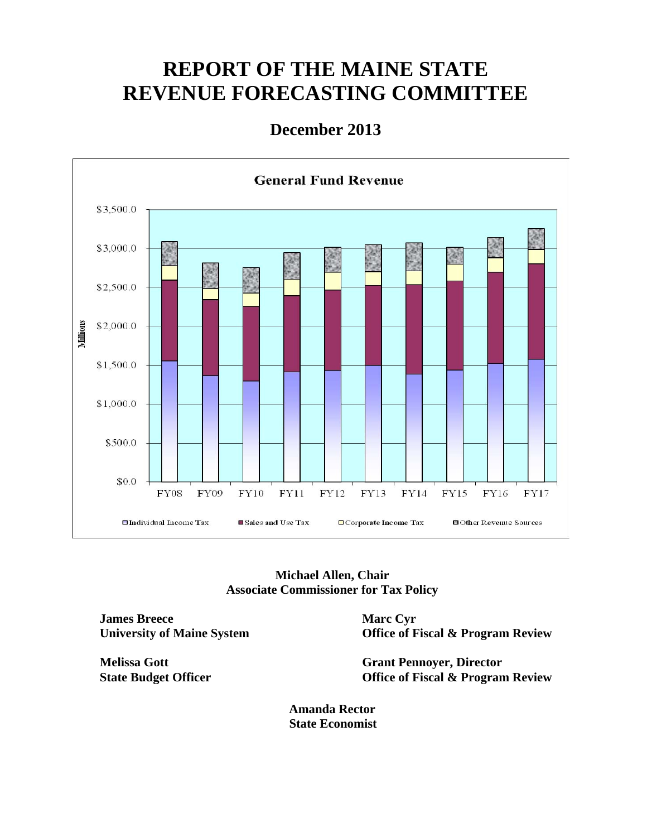# **REPORT OF THE MAINE STATE REVENUE FORECASTING COMMITTEE**

#### **December 2013**



**Michael Allen, Chair Associate Commissioner for Tax Policy** 

**James Breece University of Maine System** 

**Melissa Gott State Budget Officer**  **Marc Cyr Office of Fiscal & Program Review** 

**Grant Pennoyer, Director Office of Fiscal & Program Review** 

**Amanda Rector State Economist**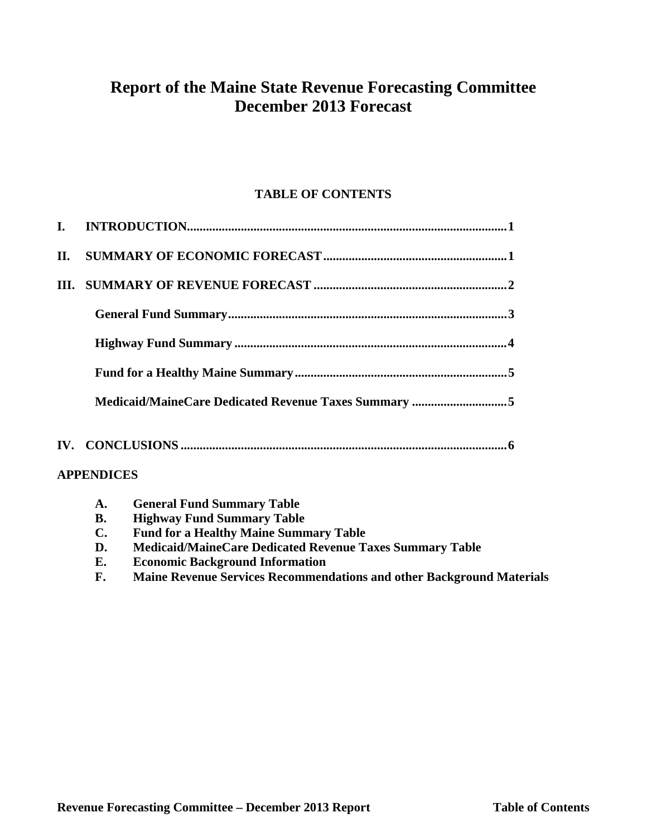### **Report of the Maine State Revenue Forecasting Committee December 2013 Forecast**

#### **TABLE OF CONTENTS**

| L. |                   |                                                      |  |  |  |  |  |  |
|----|-------------------|------------------------------------------------------|--|--|--|--|--|--|
| П. |                   |                                                      |  |  |  |  |  |  |
|    |                   |                                                      |  |  |  |  |  |  |
|    |                   |                                                      |  |  |  |  |  |  |
|    |                   |                                                      |  |  |  |  |  |  |
|    |                   |                                                      |  |  |  |  |  |  |
|    |                   | Medicaid/MaineCare Dedicated Revenue Taxes Summary 5 |  |  |  |  |  |  |
|    |                   |                                                      |  |  |  |  |  |  |
|    | <b>APPENDICES</b> |                                                      |  |  |  |  |  |  |
|    | A.                | <b>General Fund Summary Table</b>                    |  |  |  |  |  |  |
|    | В.                | <b>Highway Fund Summary Table</b>                    |  |  |  |  |  |  |

- **C. Fund for a Healthy Maine Summary Table**
- **D. Medicaid/MaineCare Dedicated Revenue Taxes Summary Table**
- **E. Economic Background Information**
- **F. Maine Revenue Services Recommendations and other Background Materials**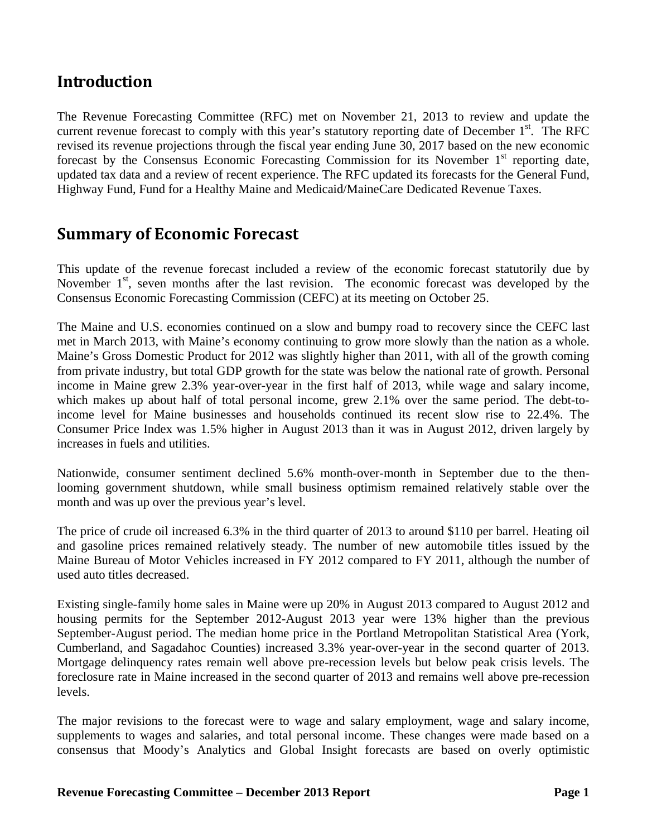#### **Introduction**

The Revenue Forecasting Committee (RFC) met on November 21, 2013 to review and update the current revenue forecast to comply with this year's statutory reporting date of December  $1<sup>st</sup>$ . The RFC revised its revenue projections through the fiscal year ending June 30, 2017 based on the new economic forecast by the Consensus Economic Forecasting Commission for its November  $1<sup>st</sup>$  reporting date, updated tax data and a review of recent experience. The RFC updated its forecasts for the General Fund, Highway Fund, Fund for a Healthy Maine and Medicaid/MaineCare Dedicated Revenue Taxes.

#### **Summary of Economic Forecast**

This update of the revenue forecast included a review of the economic forecast statutorily due by November  $1<sup>st</sup>$ , seven months after the last revision. The economic forecast was developed by the Consensus Economic Forecasting Commission (CEFC) at its meeting on October 25.

The Maine and U.S. economies continued on a slow and bumpy road to recovery since the CEFC last met in March 2013, with Maine's economy continuing to grow more slowly than the nation as a whole. Maine's Gross Domestic Product for 2012 was slightly higher than 2011, with all of the growth coming from private industry, but total GDP growth for the state was below the national rate of growth. Personal income in Maine grew 2.3% year-over-year in the first half of 2013, while wage and salary income, which makes up about half of total personal income, grew 2.1% over the same period. The debt-toincome level for Maine businesses and households continued its recent slow rise to 22.4%. The Consumer Price Index was 1.5% higher in August 2013 than it was in August 2012, driven largely by increases in fuels and utilities.

Nationwide, consumer sentiment declined 5.6% month-over-month in September due to the thenlooming government shutdown, while small business optimism remained relatively stable over the month and was up over the previous year's level.

The price of crude oil increased 6.3% in the third quarter of 2013 to around \$110 per barrel. Heating oil and gasoline prices remained relatively steady. The number of new automobile titles issued by the Maine Bureau of Motor Vehicles increased in FY 2012 compared to FY 2011, although the number of used auto titles decreased.

Existing single-family home sales in Maine were up 20% in August 2013 compared to August 2012 and housing permits for the September 2012-August 2013 year were 13% higher than the previous September-August period. The median home price in the Portland Metropolitan Statistical Area (York, Cumberland, and Sagadahoc Counties) increased 3.3% year-over-year in the second quarter of 2013. Mortgage delinquency rates remain well above pre-recession levels but below peak crisis levels. The foreclosure rate in Maine increased in the second quarter of 2013 and remains well above pre-recession levels.

The major revisions to the forecast were to wage and salary employment, wage and salary income, supplements to wages and salaries, and total personal income. These changes were made based on a consensus that Moody's Analytics and Global Insight forecasts are based on overly optimistic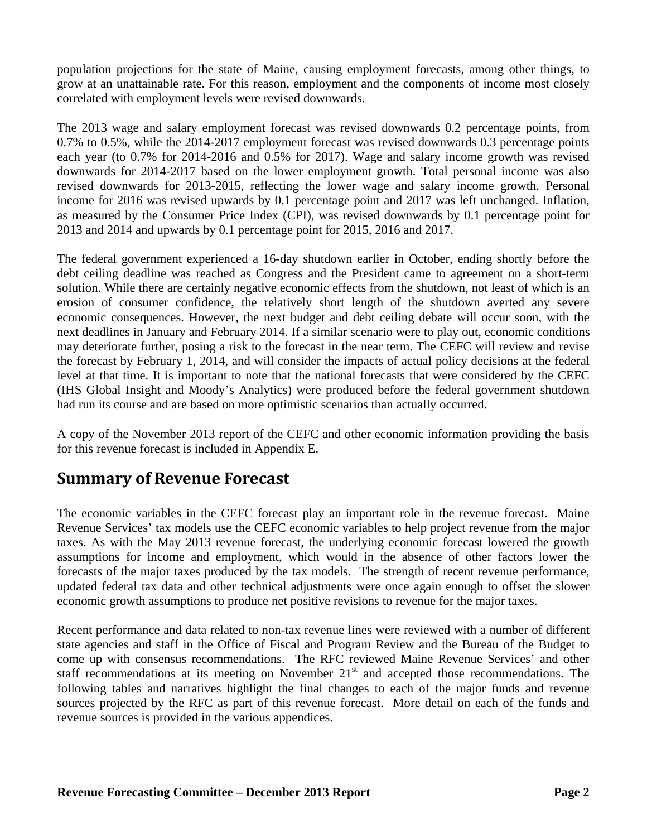population projections for the state of Maine, causing employment forecasts, among other things, to grow at an unattainable rate. For this reason, employment and the components of income most closely correlated with employment levels were revised downwards.

The 2013 wage and salary employment forecast was revised downwards 0.2 percentage points, from 0.7% to 0.5%, while the 2014-2017 employment forecast was revised downwards 0.3 percentage points each year (to 0.7% for 2014-2016 and 0.5% for 2017). Wage and salary income growth was revised downwards for 2014-2017 based on the lower employment growth. Total personal income was also revised downwards for 2013-2015, reflecting the lower wage and salary income growth. Personal income for 2016 was revised upwards by 0.1 percentage point and 2017 was left unchanged. Inflation, as measured by the Consumer Price Index (CPI), was revised downwards by 0.1 percentage point for 2013 and 2014 and upwards by 0.1 percentage point for 2015, 2016 and 2017.

The federal government experienced a 16-day shutdown earlier in October, ending shortly before the debt ceiling deadline was reached as Congress and the President came to agreement on a short-term solution. While there are certainly negative economic effects from the shutdown, not least of which is an erosion of consumer confidence, the relatively short length of the shutdown averted any severe economic consequences. However, the next budget and debt ceiling debate will occur soon, with the next deadlines in January and February 2014. If a similar scenario were to play out, economic conditions may deteriorate further, posing a risk to the forecast in the near term. The CEFC will review and revise the forecast by February 1, 2014, and will consider the impacts of actual policy decisions at the federal level at that time. It is important to note that the national forecasts that were considered by the CEFC (IHS Global Insight and Moody's Analytics) were produced before the federal government shutdown had run its course and are based on more optimistic scenarios than actually occurred.

A copy of the November 2013 report of the CEFC and other economic information providing the basis for this revenue forecast is included in Appendix E.

#### **Summary of Revenue Forecast**

The economic variables in the CEFC forecast play an important role in the revenue forecast. Maine Revenue Services' tax models use the CEFC economic variables to help project revenue from the major taxes. As with the May 2013 revenue forecast, the underlying economic forecast lowered the growth assumptions for income and employment, which would in the absence of other factors lower the forecasts of the major taxes produced by the tax models. The strength of recent revenue performance, updated federal tax data and other technical adjustments were once again enough to offset the slower economic growth assumptions to produce net positive revisions to revenue for the major taxes.

Recent performance and data related to non-tax revenue lines were reviewed with a number of different state agencies and staff in the Office of Fiscal and Program Review and the Bureau of the Budget to come up with consensus recommendations. The RFC reviewed Maine Revenue Services' and other staff recommendations at its meeting on November  $21<sup>st</sup>$  and accepted those recommendations. The following tables and narratives highlight the final changes to each of the major funds and revenue sources projected by the RFC as part of this revenue forecast. More detail on each of the funds and revenue sources is provided in the various appendices.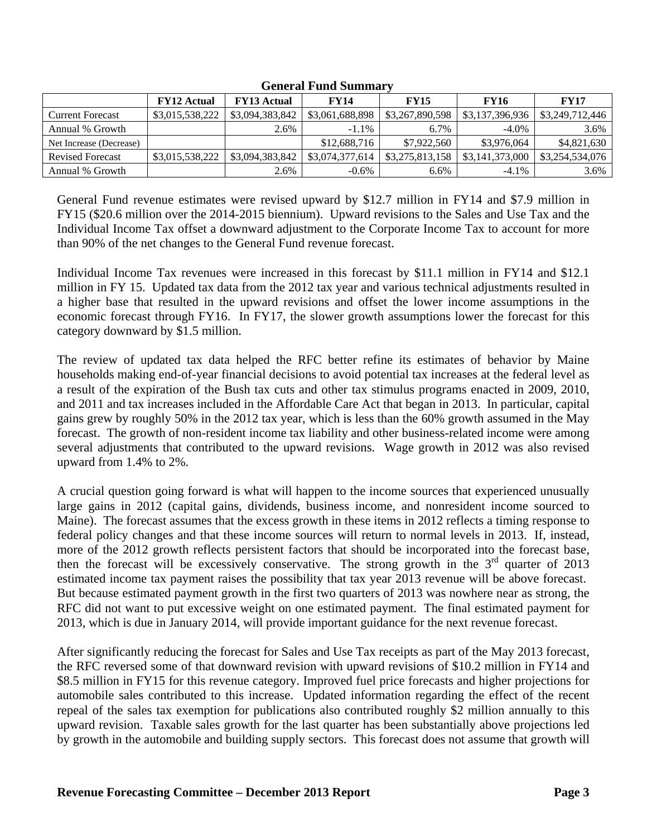|                         | <b>FY12 Actual</b> | <b>FY13 Actual</b> | <b>FY14</b>     | <b>FY15</b>     | <b>FY16</b>     | <b>FY17</b>     |  |  |
|-------------------------|--------------------|--------------------|-----------------|-----------------|-----------------|-----------------|--|--|
| <b>Current Forecast</b> | \$3,015,538,222    | \$3,094,383,842    | \$3,061,688,898 | \$3,267,890,598 | \$3,137,396,936 | \$3,249,712,446 |  |  |
| Annual % Growth         |                    | 2.6%               | $-1.1\%$        | $6.7\%$         | $-4.0\%$        | 3.6%            |  |  |
| Net Increase (Decrease) |                    |                    | \$12,688,716    | \$7,922,560     | \$3,976,064     | \$4,821,630     |  |  |
| <b>Revised Forecast</b> | \$3,015,538,222    | \$3,094,383,842    | \$3,074,377,614 | \$3,275,813,158 | \$3,141,373,000 | \$3,254,534,076 |  |  |
| Annual % Growth         |                    | 2.6%               | $-0.6\%$        | 6.6%            | $-4.1\%$        | 3.6%            |  |  |

**General Fund Summary** 

General Fund revenue estimates were revised upward by \$12.7 million in FY14 and \$7.9 million in FY15 (\$20.6 million over the 2014-2015 biennium). Upward revisions to the Sales and Use Tax and the Individual Income Tax offset a downward adjustment to the Corporate Income Tax to account for more than 90% of the net changes to the General Fund revenue forecast.

Individual Income Tax revenues were increased in this forecast by \$11.1 million in FY14 and \$12.1 million in FY 15. Updated tax data from the 2012 tax year and various technical adjustments resulted in a higher base that resulted in the upward revisions and offset the lower income assumptions in the economic forecast through FY16. In FY17, the slower growth assumptions lower the forecast for this category downward by \$1.5 million.

The review of updated tax data helped the RFC better refine its estimates of behavior by Maine households making end-of-year financial decisions to avoid potential tax increases at the federal level as a result of the expiration of the Bush tax cuts and other tax stimulus programs enacted in 2009, 2010, and 2011 and tax increases included in the Affordable Care Act that began in 2013. In particular, capital gains grew by roughly 50% in the 2012 tax year, which is less than the 60% growth assumed in the May forecast. The growth of non-resident income tax liability and other business-related income were among several adjustments that contributed to the upward revisions. Wage growth in 2012 was also revised upward from 1.4% to 2%.

A crucial question going forward is what will happen to the income sources that experienced unusually large gains in 2012 (capital gains, dividends, business income, and nonresident income sourced to Maine). The forecast assumes that the excess growth in these items in 2012 reflects a timing response to federal policy changes and that these income sources will return to normal levels in 2013. If, instead, more of the 2012 growth reflects persistent factors that should be incorporated into the forecast base, then the forecast will be excessively conservative. The strong growth in the  $3<sup>rd</sup>$  quarter of 2013 estimated income tax payment raises the possibility that tax year 2013 revenue will be above forecast. But because estimated payment growth in the first two quarters of 2013 was nowhere near as strong, the RFC did not want to put excessive weight on one estimated payment. The final estimated payment for 2013, which is due in January 2014, will provide important guidance for the next revenue forecast.

After significantly reducing the forecast for Sales and Use Tax receipts as part of the May 2013 forecast, the RFC reversed some of that downward revision with upward revisions of \$10.2 million in FY14 and \$8.5 million in FY15 for this revenue category. Improved fuel price forecasts and higher projections for automobile sales contributed to this increase. Updated information regarding the effect of the recent repeal of the sales tax exemption for publications also contributed roughly \$2 million annually to this upward revision. Taxable sales growth for the last quarter has been substantially above projections led by growth in the automobile and building supply sectors. This forecast does not assume that growth will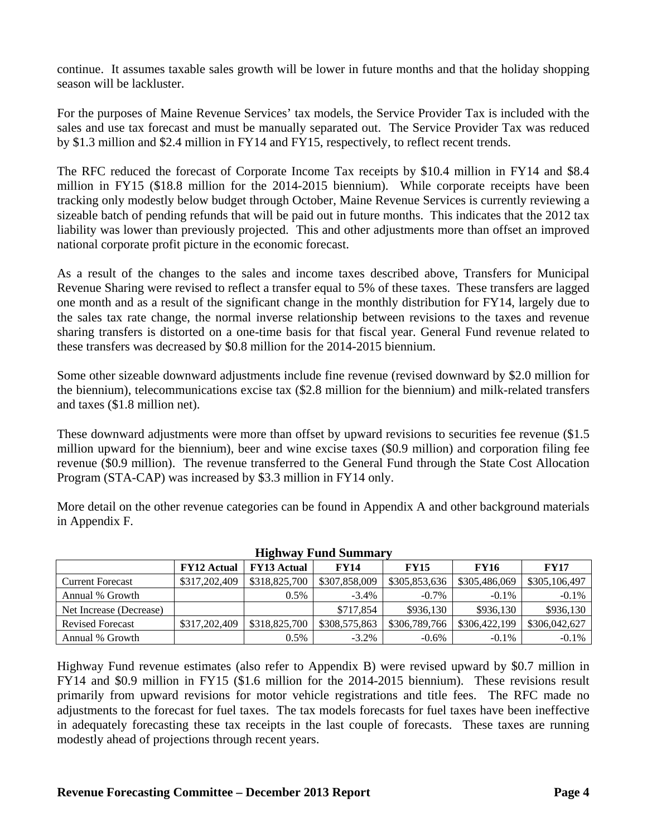continue. It assumes taxable sales growth will be lower in future months and that the holiday shopping season will be lackluster.

For the purposes of Maine Revenue Services' tax models, the Service Provider Tax is included with the sales and use tax forecast and must be manually separated out. The Service Provider Tax was reduced by \$1.3 million and \$2.4 million in FY14 and FY15, respectively, to reflect recent trends.

The RFC reduced the forecast of Corporate Income Tax receipts by \$10.4 million in FY14 and \$8.4 million in FY15 (\$18.8 million for the 2014-2015 biennium). While corporate receipts have been tracking only modestly below budget through October, Maine Revenue Services is currently reviewing a sizeable batch of pending refunds that will be paid out in future months. This indicates that the 2012 tax liability was lower than previously projected. This and other adjustments more than offset an improved national corporate profit picture in the economic forecast.

As a result of the changes to the sales and income taxes described above, Transfers for Municipal Revenue Sharing were revised to reflect a transfer equal to 5% of these taxes. These transfers are lagged one month and as a result of the significant change in the monthly distribution for FY14, largely due to the sales tax rate change, the normal inverse relationship between revisions to the taxes and revenue sharing transfers is distorted on a one-time basis for that fiscal year. General Fund revenue related to these transfers was decreased by \$0.8 million for the 2014-2015 biennium.

Some other sizeable downward adjustments include fine revenue (revised downward by \$2.0 million for the biennium), telecommunications excise tax (\$2.8 million for the biennium) and milk-related transfers and taxes (\$1.8 million net).

These downward adjustments were more than offset by upward revisions to securities fee revenue (\$1.5) million upward for the biennium), beer and wine excise taxes (\$0.9 million) and corporation filing fee revenue (\$0.9 million). The revenue transferred to the General Fund through the State Cost Allocation Program (STA-CAP) was increased by \$3.3 million in FY14 only.

More detail on the other revenue categories can be found in Appendix A and other background materials in Appendix F.

| <b>Highway Fund Summary</b> |                    |                    |               |               |               |               |  |  |
|-----------------------------|--------------------|--------------------|---------------|---------------|---------------|---------------|--|--|
|                             | <b>FY12 Actual</b> | <b>FY13 Actual</b> | <b>FY14</b>   | <b>FY15</b>   | <b>FY16</b>   | <b>FY17</b>   |  |  |
| <b>Current Forecast</b>     | \$317,202,409      | \$318,825,700      | \$307,858,009 | \$305,853,636 | \$305,486,069 | \$305,106,497 |  |  |
| Annual % Growth             |                    | $0.5\%$            | $-3.4\%$      | $-0.7\%$      | $-0.1\%$      | $-0.1\%$      |  |  |
| Net Increase (Decrease)     |                    |                    | \$717,854     | \$936.130     | \$936.130     | \$936,130     |  |  |
| <b>Revised Forecast</b>     | \$317,202,409      | \$318,825,700      | \$308,575,863 | \$306,789,766 | \$306,422,199 | \$306,042,627 |  |  |
| Annual % Growth             |                    | $0.5\%$            | $-3.2\%$      | $-0.6\%$      | $-0.1\%$      | $-0.1\%$      |  |  |

#### **Highway Fund Summary**

Highway Fund revenue estimates (also refer to Appendix B) were revised upward by \$0.7 million in FY14 and \$0.9 million in FY15 (\$1.6 million for the 2014-2015 biennium). These revisions result primarily from upward revisions for motor vehicle registrations and title fees. The RFC made no adjustments to the forecast for fuel taxes. The tax models forecasts for fuel taxes have been ineffective in adequately forecasting these tax receipts in the last couple of forecasts. These taxes are running modestly ahead of projections through recent years.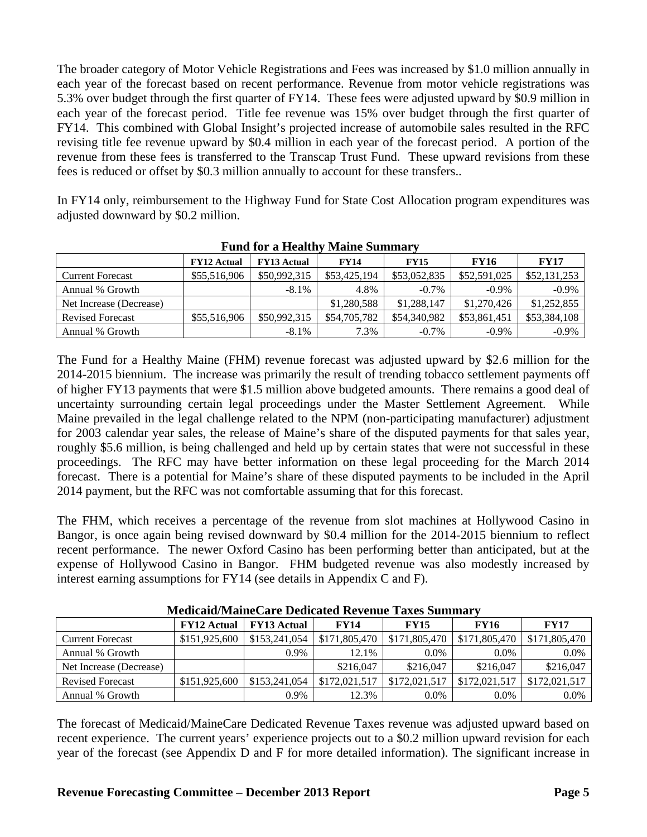The broader category of Motor Vehicle Registrations and Fees was increased by \$1.0 million annually in each year of the forecast based on recent performance. Revenue from motor vehicle registrations was 5.3% over budget through the first quarter of FY14. These fees were adjusted upward by \$0.9 million in each year of the forecast period. Title fee revenue was 15% over budget through the first quarter of FY14. This combined with Global Insight's projected increase of automobile sales resulted in the RFC revising title fee revenue upward by \$0.4 million in each year of the forecast period. A portion of the revenue from these fees is transferred to the Transcap Trust Fund. These upward revisions from these fees is reduced or offset by \$0.3 million annually to account for these transfers..

In FY14 only, reimbursement to the Highway Fund for State Cost Allocation program expenditures was adjusted downward by \$0.2 million.

|                         | <b>FY12 Actual</b> | <b>FY13 Actual</b> | <b>FY14</b>  | <b>FY15</b>  | <b>FY16</b>  | <b>FY17</b>  |
|-------------------------|--------------------|--------------------|--------------|--------------|--------------|--------------|
| <b>Current Forecast</b> | \$55,516,906       | \$50,992,315       | \$53,425,194 | \$53,052,835 | \$52,591,025 | \$52,131,253 |
| Annual % Growth         |                    | $-8.1\%$           | 4.8%         | $-0.7\%$     | $-0.9\%$     | $-0.9\%$     |
| Net Increase (Decrease) |                    |                    | \$1,280,588  | \$1,288,147  | \$1,270,426  | \$1,252,855  |
| <b>Revised Forecast</b> | \$55,516,906       | \$50,992,315       | \$54,705,782 | \$54,340,982 | \$53,861,451 | \$53,384,108 |
| Annual % Growth         |                    | $-8.1%$            | 7.3%         | $-0.7\%$     | $-0.9\%$     | $-0.9\%$     |

The Fund for a Healthy Maine (FHM) revenue forecast was adjusted upward by \$2.6 million for the 2014-2015 biennium. The increase was primarily the result of trending tobacco settlement payments off of higher FY13 payments that were \$1.5 million above budgeted amounts. There remains a good deal of uncertainty surrounding certain legal proceedings under the Master Settlement Agreement. While Maine prevailed in the legal challenge related to the NPM (non-participating manufacturer) adjustment for 2003 calendar year sales, the release of Maine's share of the disputed payments for that sales year, roughly \$5.6 million, is being challenged and held up by certain states that were not successful in these proceedings. The RFC may have better information on these legal proceeding for the March 2014 forecast. There is a potential for Maine's share of these disputed payments to be included in the April 2014 payment, but the RFC was not comfortable assuming that for this forecast.

The FHM, which receives a percentage of the revenue from slot machines at Hollywood Casino in Bangor, is once again being revised downward by \$0.4 million for the 2014-2015 biennium to reflect recent performance. The newer Oxford Casino has been performing better than anticipated, but at the expense of Hollywood Casino in Bangor. FHM budgeted revenue was also modestly increased by interest earning assumptions for FY14 (see details in Appendix C and F).

| iviedicalu/ivialileCare Deulcated Revenue Taxes Summary |                    |                    |               |               |               |               |  |
|---------------------------------------------------------|--------------------|--------------------|---------------|---------------|---------------|---------------|--|
|                                                         | <b>FY12 Actual</b> | <b>FY13 Actual</b> | <b>FY14</b>   | <b>FY15</b>   | <b>FY16</b>   | <b>FY17</b>   |  |
| <b>Current Forecast</b>                                 | \$151,925,600      | \$153,241,054      | \$171,805,470 | \$171,805,470 | \$171,805,470 | \$171,805,470 |  |
| Annual % Growth                                         |                    | $0.9\%$            | 12.1%         | $0.0\%$       | $0.0\%$       | $0.0\%$       |  |
| Net Increase (Decrease)                                 |                    |                    | \$216,047     | \$216,047     | \$216,047     | \$216,047     |  |
| <b>Revised Forecast</b>                                 | \$151,925,600      | \$153,241,054      | \$172,021,517 | \$172,021,517 | \$172,021,517 | \$172,021,517 |  |
| Annual % Growth                                         |                    | $0.9\%$            | 12.3%         | $0.0\%$       | $0.0\%$       | $0.0\%$       |  |

**Medicaid/MaineCare Dedicated Revenue Taxes Summary** 

The forecast of Medicaid/MaineCare Dedicated Revenue Taxes revenue was adjusted upward based on recent experience. The current years' experience projects out to a \$0.2 million upward revision for each year of the forecast (see Appendix D and F for more detailed information). The significant increase in